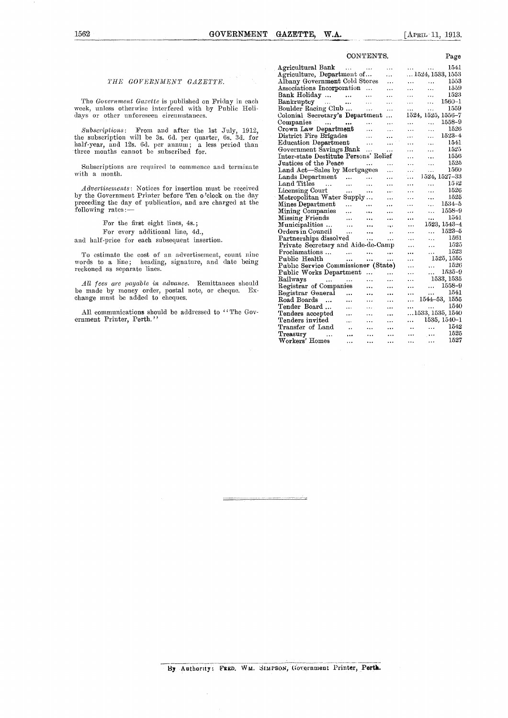### CONTENTE

Page

#### *THE GOVERNMENT GAZETTE.*

The *Government Gazette* is published on Friday in each week, unless otherwise interfered with by Public Holidays or other unforeseen circumstances.

Subscriptions: From and after the 1st July, 1912, the subscription will be 3s. 6d. per quarter, 6s. 3d. for half-year, and 12s. 6d. per annum; a less period than three months cannot be subscribed for.

Subscriptions are required to commence and terminate with a month.

*Advertisements:* Notices for insertion must be received by the Government Printer before Teu o'clock on the day preceding the day of publication, and are charged at the following rates:-

For the first eight lines, 4s.;

For every additional line, 4d.,

and half-price for each subsequent insertion.

To estimate the cost of an advertisement, count nine words to a line; heading, signature, and date being reckoned as separate lines.

*All fees are payable in advance.* Remittances should be made by money order, postal note, or cheque. Exchange must be added to cheques.

All communications should be addressed to "The Government Printer, Perth."

| CONTENTS.<br>rage                      |           |                      |                                     |
|----------------------------------------|-----------|----------------------|-------------------------------------|
| Agricultural Bank<br>$\ddotsc$         | $\cdots$  | $\cdots$             | 1541                                |
| Agriculture, Department of             |           | .                    | $$ 1524, 1533, 1553                 |
| Albany Government Cold Stores          |           | .                    | 1553<br>.<br>$\ddotsc$              |
| Associations Incorporation             | .         | .                    | 1559<br>$\cdots$<br>                |
| Bank Holiday<br>$\sim$                 | .         | $\cdot$ .            | 1523<br>.<br>.                      |
| Bankruptey<br>$\cdots$                 | $\cdots$  | .                    | 1560–1<br>$\ddotsc$<br>$\cdots$     |
| Boulder Racing Club                    | $\cdots$  | .                    | 1559<br>$\cdots$<br>$\ddotsc$       |
| Colonial Secretary's Department        |           | $\cdots$             | 1524, 1525, 1556-7                  |
| Companies<br>$\sim 100$ and $\sim 100$ |           | .                    | 1558-9<br>.<br>.                    |
| Crown Law Department                   | .         | .                    | 1526<br><br>.                       |
| District Fire Brigades                 | .         | $\ddotsc$            | $1523 - 4$<br>$\cdots$<br>$\ddotsc$ |
| Education Department                   | $\cdots$  | $\ddotsc$            | 1541<br>$\ddotsc$<br>$\ddotsc$      |
| Government Savings Bank                | .         |                      | 1525<br>.<br>.                      |
| Inter-state Destitute Persons' Relief  |           |                      | 1556<br>.<br>$\ddotsc$              |
| Justices of the Peace                  |           | .                    | 1525<br>$\ddotsc$<br>.              |
| Land Act—Sales by Mortgagees           |           | $\cdots$             | 1560<br>.<br>.                      |
| Lands Department<br>$\ddotsc$          | .         | .                    | 1524, 1527-33<br>.                  |
| Land Titles<br>$\sim$ .<br>$\cdots$    | .         | .                    | 1542<br>.<br>$\cdots$               |
| Licensing Court<br>.                   |           | $\cdots$             | 1526<br>$\ddotsc$<br>.              |
| Metropolitan Water<br>Supply           |           |                      | 1525<br>.<br>                       |
| Mines Department<br>.                  |           |                      | 1534–5<br>$\ddotsc$<br>.            |
| Mining Companies<br>.                  |           |                      | 1558–9<br>.<br>.                    |
| Missing Friends<br>$\ddotsc$           |           |                      | 1541<br><br>                        |
| Municipalities<br>$\cdots$             |           | $\ddotsc$            | 1523, 1543–4<br>$\ddotsc$           |
| Orders in Council<br>.                 |           | $\ddot{\phantom{0}}$ | 1523–5<br>$\ddotsc$<br>$\cdots$     |
| Partnerships dissolved                 |           |                      | 1561<br><br>$\ddotsc$               |
| Private Secretary and Aide-de-Camp     |           |                      | 1525<br>.<br>                       |
| Proclamations<br>$\ddotsc$             |           |                      | 1523                                |
| Public Health<br>                      | <br>      |                      | $\cdots$<br><br>1525, 1555<br>.     |
| Public Service Commissioner (State)    |           |                      | 1526<br>.<br>                       |
| Public Works Department                |           |                      | 1535-9<br>.<br>.                    |
| Railways                               | .         | .<br>.               | 1533, 1535<br>.                     |
| $\dots$<br><br>Registrar of Companies  | $\ddotsc$ | .                    | 1558-9<br>$\cdots$<br>.             |
| Registrar General<br>                  |           |                      | 1541<br>$\cdots$<br>                |
| Road Boards<br>                        |           |                      | 1544-53, 1555<br>.                  |
| $\ddotsc$<br>Tender Board<br>.         | .<br>.    | .                    | 1540                                |
| Tenders accepted                       |           |                      | <br>1533, 1535, 1540                |
| .<br>Tenders invited                   | .         |                      | 1535, 1540-1                        |
| <br>Transfer of Land                   | .         |                      | <br>1542<br>$\cdots$                |
| $\cdot$                                |           |                      | $\ddotsc$<br>1525                   |
| Treasury<br><br><br>Workers' Homes     |           |                      | $\cdots$<br><br>1527                |
| .                                      |           |                      | $\ddotsc$<br>.                      |

J.